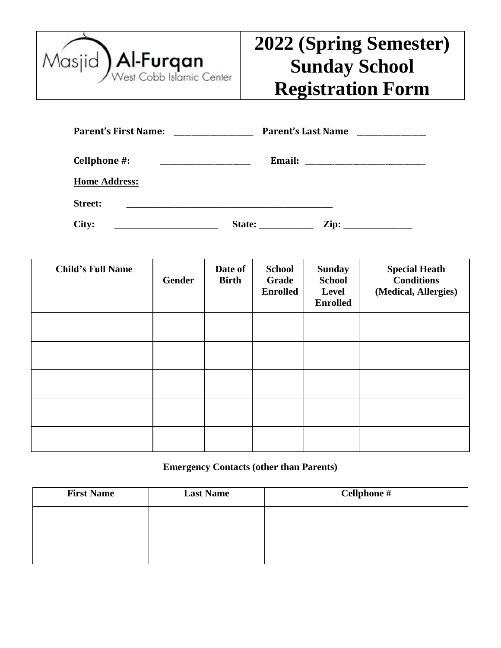

# **2022 (Spring Semester) Sunday School Registration Form**

| <b>Parent's First Name:</b> | <b>Parent's Last Name</b> |  |
|-----------------------------|---------------------------|--|
| Cellphone #:                | <b>Email:</b>             |  |
| <b>Home Address:</b>        |                           |  |
| <b>Street:</b>              |                           |  |
| City:                       | Zip:<br>State:            |  |

| <b>Child's Full Name</b> | Gender | Date of<br><b>Birth</b> | <b>School</b><br>Grade<br><b>Enrolled</b> | <b>Sunday</b><br><b>School</b><br>Level<br><b>Enrolled</b> | <b>Special Heath</b><br><b>Conditions</b><br>(Medical, Allergies) |
|--------------------------|--------|-------------------------|-------------------------------------------|------------------------------------------------------------|-------------------------------------------------------------------|
|                          |        |                         |                                           |                                                            |                                                                   |
|                          |        |                         |                                           |                                                            |                                                                   |
|                          |        |                         |                                           |                                                            |                                                                   |
|                          |        |                         |                                           |                                                            |                                                                   |
|                          |        |                         |                                           |                                                            |                                                                   |

## **Emergency Contacts (other than Parents)**

| <b>First Name</b> | <b>Last Name</b> | Cellphone # |
|-------------------|------------------|-------------|
|                   |                  |             |
|                   |                  |             |
|                   |                  |             |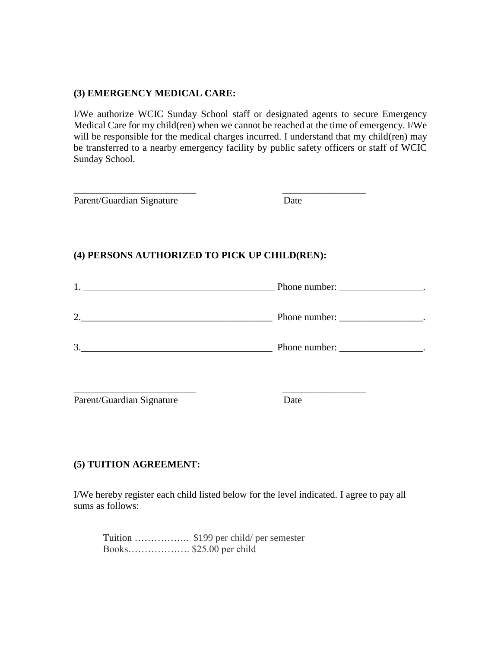#### **(3) EMERGENCY MEDICAL CARE:**

I/We authorize WCIC Sunday School staff or designated agents to secure Emergency Medical Care for my child(ren) when we cannot be reached at the time of emergency. I/We will be responsible for the medical charges incurred. I understand that my child(ren) may be transferred to a nearby emergency facility by public safety officers or staff of WCIC Sunday School.

| Parent/Guardian Signature                     | Date                               |
|-----------------------------------------------|------------------------------------|
| (4) PERSONS AUTHORIZED TO PICK UP CHILD(REN): |                                    |
|                                               | $\frac{1}{2}$ . Phone number:      |
|                                               | Phone number:                      |
| $\begin{array}{c} 3. \end{array}$             | Phone number: ___________________. |
|                                               |                                    |

Parent/Guardian Signature Date

## **(5) TUITION AGREEMENT:**

I/We hereby register each child listed below for the level indicated. I agree to pay all sums as follows:

Tuition …………….. \$199 per child/ per semester Books………………. \$25.00 per child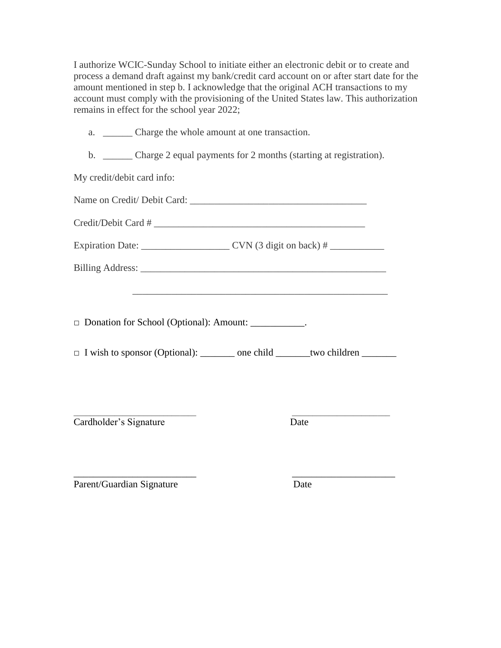I authorize WCIC-Sunday School to initiate either an electronic debit or to create and process a demand draft against my bank/credit card account on or after start date for the amount mentioned in step b. I acknowledge that the original ACH transactions to my account must comply with the provisioning of the United States law. This authorization remains in effect for the school year 2022;

| a. |  |  |  | Charge the whole amount at one transaction. |  |
|----|--|--|--|---------------------------------------------|--|
|----|--|--|--|---------------------------------------------|--|

b. \_\_\_\_\_\_ Charge 2 equal payments for 2 months (starting at registration).

My credit/debit card info:

| Name on Credit/Debit Card: |  |
|----------------------------|--|
| Credit/Debit Card #        |  |

Expiration Date: \_\_\_\_\_\_\_\_\_\_\_\_\_\_\_\_\_\_ CVN (3 digit on back) # \_\_\_\_\_\_\_\_\_\_\_

Billing Address: \_\_\_\_\_\_\_\_\_\_\_\_\_\_\_\_\_\_\_\_\_\_\_\_\_\_\_\_\_\_\_\_\_\_\_\_\_\_\_\_\_\_\_\_\_\_\_\_\_\_

□ Donation for School (Optional): Amount: \_\_\_\_\_\_\_\_\_\_\_.

 $\Box$  I wish to sponsor (Optional): \_\_\_\_\_\_\_ one child \_\_\_\_\_\_\_two children \_\_\_\_\_\_\_\_

\_\_\_\_\_\_\_\_\_\_\_\_\_\_\_\_\_\_\_\_\_\_\_\_\_\_\_\_\_\_\_\_\_\_\_\_\_\_\_\_\_\_\_\_\_\_\_\_\_\_\_\_

 $\mathcal{L}_\text{max}$  , and the set of the set of the set of the set of the set of the set of the set of the set of the set of Cardholder's Signature Date

\_\_\_\_\_\_\_\_\_\_\_\_\_\_\_\_\_\_\_\_\_\_\_\_\_ \_\_\_\_\_\_\_\_\_\_\_\_\_\_\_\_\_\_\_\_\_ Parent/Guardian Signature Date